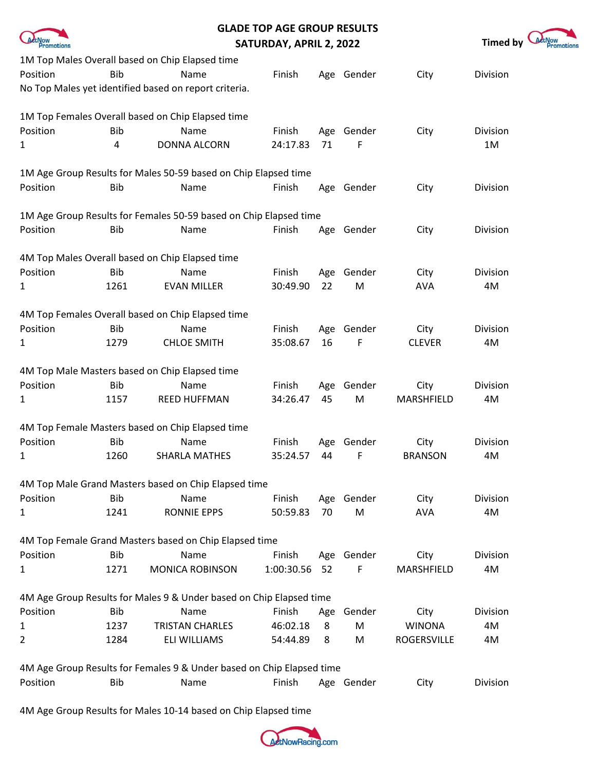|              |            | <b>GLADE TOP AGE GROUP RESULTS</b>                                    |                         |     |            |                |                 |            |
|--------------|------------|-----------------------------------------------------------------------|-------------------------|-----|------------|----------------|-----------------|------------|
| Promotions   |            |                                                                       | SATURDAY, APRIL 2, 2022 |     |            |                | <b>Timed by</b> | Promotions |
|              |            | 1M Top Males Overall based on Chip Elapsed time                       |                         |     |            |                |                 |            |
| Position     | <b>Bib</b> | Name                                                                  | Finish                  |     | Age Gender | City           | Division        |            |
|              |            | No Top Males yet identified based on report criteria.                 |                         |     |            |                |                 |            |
|              |            | 1M Top Females Overall based on Chip Elapsed time                     |                         |     |            |                |                 |            |
| Position     | <b>Bib</b> | Name                                                                  | Finish                  |     | Age Gender | City           | Division        |            |
| 1            | 4          | <b>DONNA ALCORN</b>                                                   | 24:17.83                | 71  | F          |                | 1M              |            |
|              |            | 1M Age Group Results for Males 50-59 based on Chip Elapsed time       |                         |     |            |                |                 |            |
| Position     | <b>Bib</b> | Name                                                                  | Finish                  |     | Age Gender | City           | Division        |            |
|              |            | 1M Age Group Results for Females 50-59 based on Chip Elapsed time     |                         |     |            |                |                 |            |
| Position     | <b>Bib</b> | Name                                                                  | Finish                  |     | Age Gender | City           | Division        |            |
|              |            | 4M Top Males Overall based on Chip Elapsed time                       |                         |     |            |                |                 |            |
| Position     | <b>Bib</b> | Name                                                                  | Finish                  |     | Age Gender | City           | Division        |            |
| 1            | 1261       | <b>EVAN MILLER</b>                                                    | 30:49.90                | 22  | ${\sf M}$  | <b>AVA</b>     | 4M              |            |
|              |            | 4M Top Females Overall based on Chip Elapsed time                     |                         |     |            |                |                 |            |
| Position     | <b>Bib</b> | Name                                                                  | Finish                  |     | Age Gender | City           | Division        |            |
| 1            | 1279       | <b>CHLOE SMITH</b>                                                    | 35:08.67                | 16  | F          | <b>CLEVER</b>  | 4M              |            |
|              |            | 4M Top Male Masters based on Chip Elapsed time                        |                         |     |            |                |                 |            |
| Position     | <b>Bib</b> | Name                                                                  | Finish                  |     | Age Gender | City           | Division        |            |
| 1            | 1157       | <b>REED HUFFMAN</b>                                                   | 34:26.47                | 45  | M          | MARSHFIELD     | 4M              |            |
|              |            | 4M Top Female Masters based on Chip Elapsed time                      |                         |     |            |                |                 |            |
| Position     | <b>Bib</b> | Name                                                                  | Finish                  | Age | Gender     | City           | Division        |            |
| 1            | 1260       | <b>SHARLA MATHES</b>                                                  | 35:24.57                | 44  | F          | <b>BRANSON</b> | 4M              |            |
|              |            | 4M Top Male Grand Masters based on Chip Elapsed time                  |                         |     |            |                |                 |            |
| Position     | <b>Bib</b> | Name                                                                  | Finish                  |     | Age Gender | City           | <b>Division</b> |            |
| 1            | 1241       | <b>RONNIE EPPS</b>                                                    | 50:59.83                | 70  | M          | <b>AVA</b>     | 4M              |            |
|              |            | 4M Top Female Grand Masters based on Chip Elapsed time                |                         |     |            |                |                 |            |
| Position     | Bib        | Name                                                                  | Finish                  |     | Age Gender | City           | Division        |            |
| 1            | 1271       | <b>MONICA ROBINSON</b>                                                | 1:00:30.56              | 52  | F          | MARSHFIELD     | 4M              |            |
|              |            | 4M Age Group Results for Males 9 & Under based on Chip Elapsed time   |                         |     |            |                |                 |            |
| Position     | Bib        | Name                                                                  | Finish                  | Age | Gender     | City           | Division        |            |
| $\mathbf{1}$ | 1237       | <b>TRISTAN CHARLES</b>                                                | 46:02.18                | 8   | M          | <b>WINONA</b>  | 4M              |            |
| 2            | 1284       | ELI WILLIAMS                                                          | 54:44.89                | 8   | M          | ROGERSVILLE    | 4M              |            |
|              |            | 4M Age Group Results for Females 9 & Under based on Chip Elapsed time |                         |     |            |                |                 |            |
| Position     | <b>Bib</b> | Name                                                                  | Finish                  |     | Age Gender | City           | Division        |            |

4M Age Group Results for Males 10-14 based on Chip Elapsed time

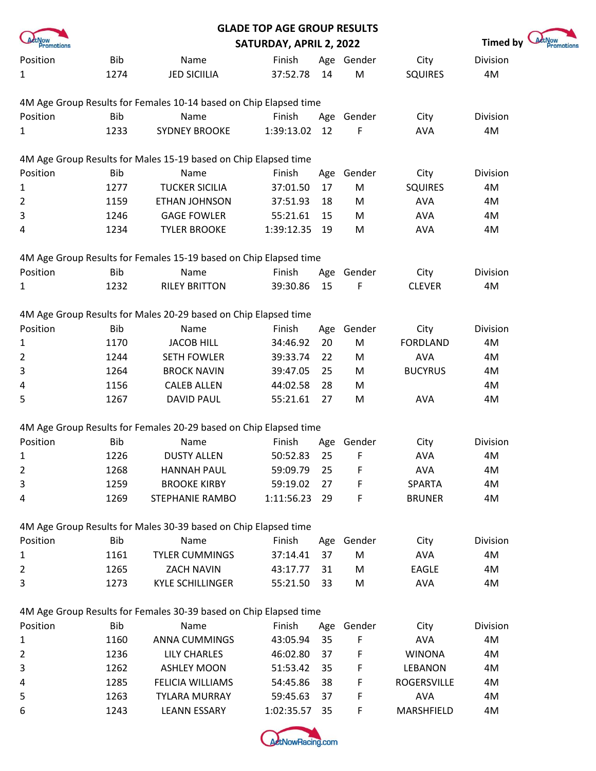|                            |            |                                                                   | <b>GLADE TOP AGE GROUP RESULTS</b> |     |            |                 |          |
|----------------------------|------------|-------------------------------------------------------------------|------------------------------------|-----|------------|-----------------|----------|
| <i>etNow</i><br>Promotions |            | SATURDAY, APRIL 2, 2022                                           | Timed by                           |     |            |                 |          |
| Position                   | Bib        | Name                                                              | Finish                             |     | Age Gender | City            | Division |
| 1                          | 1274       | <b>JED SICIILIA</b>                                               | 37:52.78                           | 14  | M          | <b>SQUIRES</b>  | 4M       |
|                            |            | 4M Age Group Results for Females 10-14 based on Chip Elapsed time |                                    |     |            |                 |          |
| Position                   | <b>Bib</b> | Name                                                              | Finish                             |     | Age Gender | City            | Division |
| 1                          | 1233       | <b>SYDNEY BROOKE</b>                                              | 1:39:13.02                         | 12  | F          | <b>AVA</b>      | 4M       |
|                            |            | 4M Age Group Results for Males 15-19 based on Chip Elapsed time   |                                    |     |            |                 |          |
| Position                   | <b>Bib</b> | Name                                                              | Finish                             | Age | Gender     | City            | Division |
| 1                          | 1277       | <b>TUCKER SICILIA</b>                                             | 37:01.50                           | 17  | M          | <b>SQUIRES</b>  | 4M       |
| $\overline{2}$             | 1159       | ETHAN JOHNSON                                                     | 37:51.93                           | 18  | M          | <b>AVA</b>      | 4M       |
| 3                          | 1246       | <b>GAGE FOWLER</b>                                                | 55:21.61                           | 15  | M          | <b>AVA</b>      | 4M       |
| 4                          | 1234       | <b>TYLER BROOKE</b>                                               | 1:39:12.35                         | 19  | M          | <b>AVA</b>      | 4M       |
|                            |            | 4M Age Group Results for Females 15-19 based on Chip Elapsed time |                                    |     |            |                 |          |
| Position                   | <b>Bib</b> | Name                                                              | Finish                             | Age | Gender     | City            | Division |
| 1                          | 1232       | <b>RILEY BRITTON</b>                                              | 39:30.86                           | 15  | F          | <b>CLEVER</b>   | 4M       |
|                            |            | 4M Age Group Results for Males 20-29 based on Chip Elapsed time   |                                    |     |            |                 |          |
| Position                   | <b>Bib</b> | Name                                                              | Finish                             | Age | Gender     | City            | Division |
| 1                          | 1170       | <b>JACOB HILL</b>                                                 | 34:46.92                           | 20  | M          | <b>FORDLAND</b> | 4M       |
| $\overline{2}$             | 1244       | <b>SETH FOWLER</b>                                                | 39:33.74                           | 22  | M          | <b>AVA</b>      | 4M       |
| 3                          | 1264       | <b>BROCK NAVIN</b>                                                | 39:47.05                           | 25  | M          | <b>BUCYRUS</b>  | 4M       |
| 4                          | 1156       | <b>CALEB ALLEN</b>                                                | 44:02.58                           | 28  | M          |                 | 4M       |
| 5                          | 1267       | <b>DAVID PAUL</b>                                                 | 55:21.61                           | 27  | M          | <b>AVA</b>      | 4M       |
|                            |            | 4M Age Group Results for Females 20-29 based on Chip Elapsed time |                                    |     |            |                 |          |
| Position                   | <b>Bib</b> | Name                                                              | Finish                             |     | Age Gender | City            | Division |
| 1                          | 1226       | <b>DUSTY ALLEN</b>                                                | 50:52.83                           | 25  |            | AVA             | 4M       |
| 2                          | 1268       | <b>HANNAH PAUL</b>                                                | 59:09.79                           | 25  | F          | <b>AVA</b>      | 4M       |
| 3                          | 1259       | <b>BROOKE KIRBY</b>                                               | 59:19.02                           | 27  | F          | <b>SPARTA</b>   | 4M       |
| 4                          | 1269       | <b>STEPHANIE RAMBO</b>                                            | 1:11:56.23                         | 29  | F          | <b>BRUNER</b>   | 4M       |
|                            |            | 4M Age Group Results for Males 30-39 based on Chip Elapsed time   |                                    |     |            |                 |          |
| Position                   | <b>Bib</b> | Name                                                              | Finish                             |     | Age Gender | City            | Division |
| 1                          | 1161       | <b>TYLER CUMMINGS</b>                                             | 37:14.41                           | 37  | M          | <b>AVA</b>      | 4M       |
| 2                          | 1265       | <b>ZACH NAVIN</b>                                                 | 43:17.77                           | 31  | M          | <b>EAGLE</b>    | 4M       |
| 3                          | 1273       | <b>KYLE SCHILLINGER</b>                                           | 55:21.50                           | 33  | M          | <b>AVA</b>      | 4M       |
|                            |            | 4M Age Group Results for Females 30-39 based on Chip Elapsed time |                                    |     |            |                 |          |
| Position                   | <b>Bib</b> | Name                                                              | Finish                             |     | Age Gender | City            | Division |
| 1                          | 1160       | <b>ANNA CUMMINGS</b>                                              | 43:05.94                           | 35  | F          | <b>AVA</b>      | 4M       |
| 2                          | 1236       | LILY CHARLES                                                      | 46:02.80                           | 37  | F          | <b>WINONA</b>   | 4M       |
| 3                          | 1262       | <b>ASHLEY MOON</b>                                                | 51:53.42                           | 35  | F          | LEBANON         | 4M       |
| 4                          | 1285       | FELICIA WILLIAMS                                                  | 54:45.86                           | 38  | F          | ROGERSVILLE     | 4M       |
| 5                          | 1263       | <b>TYLARA MURRAY</b>                                              | 59:45.63                           | 37  | F          | <b>AVA</b>      | 4M       |
| 6                          | 1243       | <b>LEANN ESSARY</b>                                               | 1:02:35.57                         | 35  | F          | MARSHFIELD      | 4M       |

motions

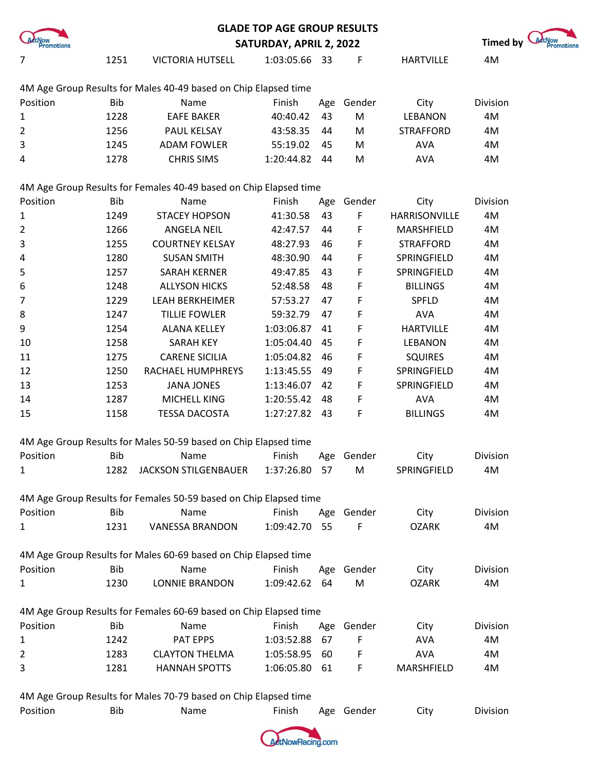|              |            | <b>GLADE TOP AGE GROUP RESULTS</b>                                |                         |      |            |                  |                 |                                   |
|--------------|------------|-------------------------------------------------------------------|-------------------------|------|------------|------------------|-----------------|-----------------------------------|
| Promotions   |            |                                                                   | SATURDAY, APRIL 2, 2022 |      |            |                  | <b>Timed by</b> | <i><b>EtNow</b></i><br>Promotions |
| 7            | 1251       | <b>VICTORIA HUTSELL</b>                                           | 1:03:05.66 33           |      | F          | <b>HARTVILLE</b> | 4M              |                                   |
|              |            | 4M Age Group Results for Males 40-49 based on Chip Elapsed time   |                         |      |            |                  |                 |                                   |
| Position     | <b>Bib</b> | Name                                                              | Finish                  | Age  | Gender     | City             | Division        |                                   |
| $\mathbf{1}$ | 1228       | <b>EAFE BAKER</b>                                                 | 40:40.42                | 43   | M          | <b>LEBANON</b>   | 4M              |                                   |
| 2            | 1256       | PAUL KELSAY                                                       | 43:58.35                | 44   | M          | <b>STRAFFORD</b> | 4M              |                                   |
| 3            | 1245       | <b>ADAM FOWLER</b>                                                | 55:19.02                | 45   | M          | <b>AVA</b>       | 4M              |                                   |
| 4            | 1278       | <b>CHRIS SIMS</b>                                                 | 1:20:44.82              | 44   | M          | <b>AVA</b>       | 4M              |                                   |
|              |            | 4M Age Group Results for Females 40-49 based on Chip Elapsed time |                         |      |            |                  |                 |                                   |
| Position     | <b>Bib</b> | Name                                                              | Finish                  | Age  | Gender     | City             | Division        |                                   |
| $\mathbf{1}$ | 1249       | <b>STACEY HOPSON</b>                                              | 41:30.58                | 43   | F          | HARRISONVILLE    | 4M              |                                   |
| 2            | 1266       | ANGELA NEIL                                                       | 42:47.57                | 44   | F          | MARSHFIELD       | 4M              |                                   |
| 3            | 1255       | <b>COURTNEY KELSAY</b>                                            | 48:27.93                | 46   | F          | <b>STRAFFORD</b> | 4M              |                                   |
| 4            | 1280       | <b>SUSAN SMITH</b>                                                | 48:30.90                | 44   | F          | SPRINGFIELD      | 4M              |                                   |
| 5            | 1257       | SARAH KERNER                                                      | 49:47.85                | 43   | F          | SPRINGFIELD      | 4M              |                                   |
| 6            | 1248       | <b>ALLYSON HICKS</b>                                              | 52:48.58                | 48   | F          | <b>BILLINGS</b>  | 4M              |                                   |
| 7            | 1229       | <b>LEAH BERKHEIMER</b>                                            | 57:53.27                | 47   | F          | SPFLD            | 4M              |                                   |
| 8            | 1247       | <b>TILLIE FOWLER</b>                                              | 59:32.79                | 47   | F          | <b>AVA</b>       | 4M              |                                   |
| 9            | 1254       | <b>ALANA KELLEY</b>                                               | 1:03:06.87              | 41   | F          | <b>HARTVILLE</b> | 4M              |                                   |
| 10           | 1258       | <b>SARAH KEY</b>                                                  | 1:05:04.40              | 45   | F          | <b>LEBANON</b>   | 4M              |                                   |
| 11           | 1275       | <b>CARENE SICILIA</b>                                             | 1:05:04.82              | 46   | F          | <b>SQUIRES</b>   | 4M              |                                   |
| 12           | 1250       | RACHAEL HUMPHREYS                                                 | 1:13:45.55              | 49   | F          | SPRINGFIELD      | 4M              |                                   |
| 13           | 1253       | <b>JANA JONES</b>                                                 | 1:13:46.07              | 42   | F          | SPRINGFIELD      | 4M              |                                   |
| 14           | 1287       | MICHELL KING                                                      | 1:20:55.42              | 48   | F          | <b>AVA</b>       | 4M              |                                   |
| 15           | 1158       | <b>TESSA DACOSTA</b>                                              | 1:27:27.82 43           |      | F          | <b>BILLINGS</b>  | 4M              |                                   |
|              |            | 4M Age Group Results for Males 50-59 based on Chip Elapsed time   |                         |      |            |                  |                 |                                   |
| Position     | <b>Bib</b> | Name                                                              | Finish                  | Age  | Gender     | City             | Division        |                                   |
| 1            | 1282       | <b>JACKSON STILGENBAUER</b>                                       | 1:37:26.80 57           |      | M          | SPRINGFIELD      | 4M              |                                   |
|              |            | 4M Age Group Results for Females 50-59 based on Chip Elapsed time |                         |      |            |                  |                 |                                   |
| Position     | <b>Bib</b> | Name                                                              | Finish                  |      | Age Gender | City             | Division        |                                   |
| 1            | 1231       | <b>VANESSA BRANDON</b>                                            | 1:09:42.70              | - 55 | F          | <b>OZARK</b>     | 4M              |                                   |
|              |            | 4M Age Group Results for Males 60-69 based on Chip Elapsed time   |                         |      |            |                  |                 |                                   |
| Position     | <b>Bib</b> | Name                                                              | Finish                  |      | Age Gender | City             | Division        |                                   |
| $\mathbf{1}$ | 1230       | <b>LONNIE BRANDON</b>                                             | 1:09:42.62 64           |      | M          | <b>OZARK</b>     | 4M              |                                   |
|              |            | 4M Age Group Results for Females 60-69 based on Chip Elapsed time |                         |      |            |                  |                 |                                   |
| Position     | <b>Bib</b> | Name                                                              | Finish                  | Age  | Gender     | City             | Division        |                                   |
| $\mathbf{1}$ | 1242       | PAT EPPS                                                          | 1:03:52.88              | 67   | F          | <b>AVA</b>       | 4M              |                                   |
| 2            | 1283       | <b>CLAYTON THELMA</b>                                             | 1:05:58.95              | 60   | F          | <b>AVA</b>       | 4M              |                                   |
| 3            | 1281       | <b>HANNAH SPOTTS</b>                                              | 1:06:05.80              | 61   | F          | MARSHFIELD       | 4M              |                                   |
|              |            |                                                                   |                         |      |            |                  |                 |                                   |

4M Age Group Results for Males 70-79 based on Chip Elapsed time

| Position | Bib | Name | Finish | Age Gender | City | Division |
|----------|-----|------|--------|------------|------|----------|
|          |     |      |        |            |      |          |

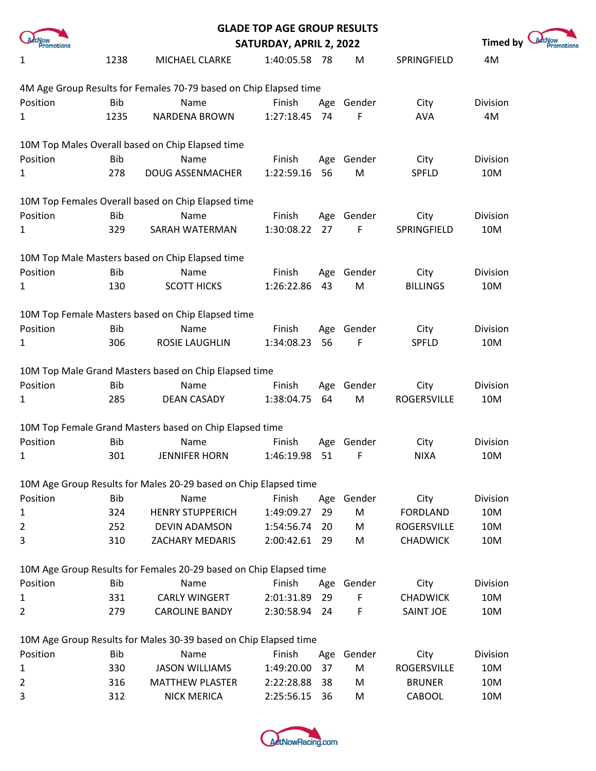|              |            |                                                                    | <b>GLADE TOP AGE GROUP RESULTS</b> |     |            |                  |                 |  |
|--------------|------------|--------------------------------------------------------------------|------------------------------------|-----|------------|------------------|-----------------|--|
| romotions    |            |                                                                    | SATURDAY, APRIL 2, 2022            |     |            |                  | <b>Timed by</b> |  |
| 1            | 1238       | MICHAEL CLARKE                                                     | 1:40:05.58 78                      |     | M          | SPRINGFIELD      | 4M              |  |
|              |            | 4M Age Group Results for Females 70-79 based on Chip Elapsed time  |                                    |     |            |                  |                 |  |
| Position     | Bib        | Name                                                               | Finish                             |     | Age Gender | City             | Division        |  |
| 1            | 1235       | <b>NARDENA BROWN</b>                                               | 1:27:18.45                         | 74  | F          | <b>AVA</b>       | 4M              |  |
|              |            | 10M Top Males Overall based on Chip Elapsed time                   |                                    |     |            |                  |                 |  |
| Position     | <b>Bib</b> | Name                                                               | Finish                             |     | Age Gender | City             | Division        |  |
| 1            | 278        | <b>DOUG ASSENMACHER</b>                                            | 1:22:59.16                         | 56  | M          | SPFLD            | 10M             |  |
|              |            | 10M Top Females Overall based on Chip Elapsed time                 |                                    |     |            |                  |                 |  |
| Position     | <b>Bib</b> | Name                                                               | Finish                             |     | Age Gender | City             | Division        |  |
| $\mathbf{1}$ | 329        | SARAH WATERMAN                                                     | 1:30:08.22                         | 27  | F          | SPRINGFIELD      | 10M             |  |
|              |            | 10M Top Male Masters based on Chip Elapsed time                    |                                    |     |            |                  |                 |  |
| Position     | <b>Bib</b> | Name                                                               | Finish                             |     | Age Gender | City             | Division        |  |
| 1            | 130        | <b>SCOTT HICKS</b>                                                 | 1:26:22.86                         | 43  | M          | <b>BILLINGS</b>  | 10M             |  |
|              |            | 10M Top Female Masters based on Chip Elapsed time                  |                                    |     |            |                  |                 |  |
| Position     | <b>Bib</b> | Name                                                               | Finish                             |     | Age Gender | City             | Division        |  |
| 1            | 306        | ROSIE LAUGHLIN                                                     | 1:34:08.23                         | 56  | F          | <b>SPFLD</b>     | 10M             |  |
|              |            | 10M Top Male Grand Masters based on Chip Elapsed time              |                                    |     |            |                  |                 |  |
| Position     | <b>Bib</b> | Name                                                               | Finish                             |     | Age Gender | City             | Division        |  |
| $\mathbf{1}$ | 285        | <b>DEAN CASADY</b>                                                 | 1:38:04.75                         | 64  | M          | ROGERSVILLE      | 10M             |  |
|              |            | 10M Top Female Grand Masters based on Chip Elapsed time            |                                    |     |            |                  |                 |  |
| Position     | <b>Bib</b> | Name                                                               | Finish                             |     | Age Gender | City             | Division        |  |
| 1            | 301        | <b>JENNIFER HORN</b>                                               | 1:46:19.98                         | 51  | - F        | NIXA             | 10M             |  |
|              |            | 10M Age Group Results for Males 20-29 based on Chip Elapsed time   |                                    |     |            |                  |                 |  |
| Position     | <b>Bib</b> | Name                                                               | Finish                             |     | Age Gender | City             | Division        |  |
| 1            | 324        | <b>HENRY STUPPERICH</b>                                            | 1:49:09.27                         | 29  | M          | <b>FORDLAND</b>  | 10M             |  |
| 2            | 252        | DEVIN ADAMSON                                                      | 1:54:56.74 20                      |     | M          | ROGERSVILLE      | 10M             |  |
| 3            | 310        | ZACHARY MEDARIS                                                    | 2:00:42.61                         | -29 | M          | <b>CHADWICK</b>  | 10M             |  |
|              |            | 10M Age Group Results for Females 20-29 based on Chip Elapsed time |                                    |     |            |                  |                 |  |
| Position     | <b>Bib</b> | Name                                                               | Finish                             |     | Age Gender | City             | Division        |  |
| $\mathbf{1}$ | 331        | <b>CARLY WINGERT</b>                                               | 2:01:31.89                         | 29  | F          | <b>CHADWICK</b>  | 10M             |  |
| 2            | 279        | <b>CAROLINE BANDY</b>                                              | 2:30:58.94 24                      |     | F          | <b>SAINT JOE</b> | 10M             |  |
|              |            | 10M Age Group Results for Males 30-39 based on Chip Elapsed time   |                                    |     |            |                  |                 |  |
| Position     | Bib        | Name                                                               | Finish                             |     | Age Gender | City             | Division        |  |
| $\mathbf{1}$ | 330        | <b>JASON WILLIAMS</b>                                              | 1:49:20.00                         | 37  | M          | ROGERSVILLE      | 10M             |  |
| 2            | 316        | <b>MATTHEW PLASTER</b>                                             | 2:22:28.88                         | -38 | M          | <b>BRUNER</b>    | 10M             |  |
| 3            | 312        | <b>NICK MERICA</b>                                                 | 2:25:56.15                         | 36  | M          | CABOOL           | 10M             |  |

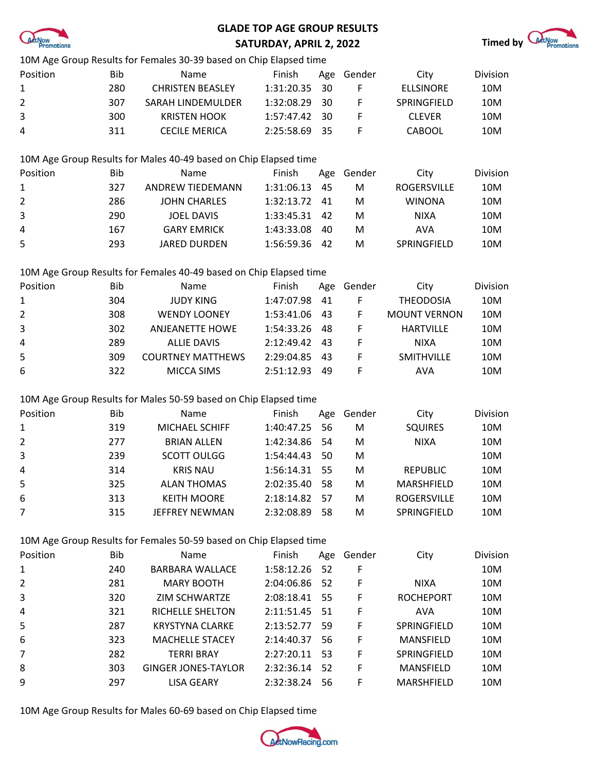

## **GLADE TOP AGE GROUP RESULTS**



|                |            | 10M Age Group Results for Females 30-39 based on Chip Elapsed time |               |     |             |                     |          |
|----------------|------------|--------------------------------------------------------------------|---------------|-----|-------------|---------------------|----------|
| Position       | <b>Bib</b> | Name                                                               | Finish        | Age | Gender      | City                | Division |
| 1              | 280        | <b>CHRISTEN BEASLEY</b>                                            | 1:31:20.35    | 30  | F           | <b>ELLSINORE</b>    | 10M      |
| $\overline{2}$ | 307        | SARAH LINDEMULDER                                                  | 1:32:08.29    | 30  | F           | SPRINGFIELD         | 10M      |
| 3              | 300        | <b>KRISTEN HOOK</b>                                                | 1:57:47.42    | 30  | F           | <b>CLEVER</b>       | 10M      |
| 4              | 311        | <b>CECILE MERICA</b>                                               | 2:25:58.69    | 35  | F           | <b>CABOOL</b>       | 10M      |
|                |            | 10M Age Group Results for Males 40-49 based on Chip Elapsed time   |               |     |             |                     |          |
| Position       | <b>Bib</b> | Name                                                               | Finish        | Age | Gender      | City                | Division |
| 1              | 327        | <b>ANDREW TIEDEMANN</b>                                            | 1:31:06.13    | 45  | M           | <b>ROGERSVILLE</b>  | 10M      |
| $\overline{2}$ | 286        | <b>JOHN CHARLES</b>                                                | 1:32:13.72    | 41  | M           | <b>WINONA</b>       | 10M      |
| 3              | 290        | <b>JOEL DAVIS</b>                                                  | 1:33:45.31    | 42  | M           | <b>NIXA</b>         | 10M      |
| 4              | 167        | <b>GARY EMRICK</b>                                                 | 1:43:33.08    | 40  | M           | <b>AVA</b>          | 10M      |
| 5              | 293        | <b>JARED DURDEN</b>                                                | 1:56:59.36    | 42  | M           | SPRINGFIELD         | 10M      |
|                |            | 10M Age Group Results for Females 40-49 based on Chip Elapsed time |               |     |             |                     |          |
| Position       | <b>Bib</b> | Name                                                               | Finish        | Age | Gender      | City                | Division |
| $\mathbf{1}$   | 304        | <b>JUDY KING</b>                                                   | 1:47:07.98    | 41  | $\mathsf F$ | <b>THEODOSIA</b>    | 10M      |
| $\overline{2}$ | 308        | <b>WENDY LOONEY</b>                                                | 1:53:41.06    | 43  | F           | <b>MOUNT VERNON</b> | 10M      |
| 3              | 302        | <b>ANJEANETTE HOWE</b>                                             | 1:54:33.26    | 48  | F           | <b>HARTVILLE</b>    | 10M      |
| 4              | 289        | <b>ALLIE DAVIS</b>                                                 | 2:12:49.42    | 43  | F           | <b>NIXA</b>         | 10M      |
| 5              | 309        | <b>COURTNEY MATTHEWS</b>                                           | 2:29:04.85    | 43  | F           | SMITHVILLE          | 10M      |
| 6              | 322        | MICCA SIMS                                                         | 2:51:12.93    | 49  | F           | <b>AVA</b>          | 10M      |
|                |            | 10M Age Group Results for Males 50-59 based on Chip Elapsed time   |               |     |             |                     |          |
| Position       | <b>Bib</b> | Name                                                               | Finish        | Age | Gender      | City                | Division |
| 1              | 319        | MICHAEL SCHIFF                                                     | 1:40:47.25    | 56  | M           | <b>SQUIRES</b>      | 10M      |
| $\overline{2}$ | 277        | <b>BRIAN ALLEN</b>                                                 | 1:42:34.86    | 54  | M           | <b>NIXA</b>         | 10M      |
| 3              | 239        | <b>SCOTT OULGG</b>                                                 | 1:54:44.43    | 50  | M           |                     | 10M      |
| 4              | 314        | <b>KRIS NAU</b>                                                    | 1:56:14.31    | 55  | M           | <b>REPUBLIC</b>     | 10M      |
| 5              | 325        | <b>ALAN THOMAS</b>                                                 | 2:02:35.40    | 58  | M           | MARSHFIELD          | 10M      |
| 6              | 313        | <b>KEITH MOORE</b>                                                 | 2:18:14.82    | 57  | M           | ROGERSVILLE         | 10M      |
| $\overline{7}$ | 315        | JEFFREY NEWMAN                                                     | 2:32:08.89    | 58  | M           | SPRINGFIELD         | 10M      |
|                |            | 10M Age Group Results for Females 50-59 based on Chip Elapsed time |               |     |             |                     |          |
| Position       | <b>Bib</b> | Name                                                               | Finish        | Age | Gender      | City                | Division |
| 1              | 240        | <b>BARBARA WALLACE</b>                                             | 1:58:12.26    | 52  | F           |                     | 10M      |
| 2              | 281        | <b>MARY BOOTH</b>                                                  | 2:04:06.86    | 52  | F           | <b>NIXA</b>         | 10M      |
| 3              | 320        | ZIM SCHWARTZE                                                      | 2:08:18.41    | 55  | F           | <b>ROCHEPORT</b>    | 10M      |
| 4              | 321        | <b>RICHELLE SHELTON</b>                                            | 2:11:51.45    | 51  | F           | <b>AVA</b>          | 10M      |
| 5              | 287        | <b>KRYSTYNA CLARKE</b>                                             | 2:13:52.77    | 59  | F           | SPRINGFIELD         | 10M      |
| 6              | 323        | <b>MACHELLE STACEY</b>                                             | 2:14:40.37    | 56  | F           | MANSFIELD           | 10M      |
| $\overline{7}$ | 282        | <b>TERRI BRAY</b>                                                  | 2:27:20.11    | 53  | F           | SPRINGFIELD         | 10M      |
| 8              | 303        | <b>GINGER JONES-TAYLOR</b>                                         | 2:32:36.14    | 52  | F           | MANSFIELD           | 10M      |
| 9              | 297        | LISA GEARY                                                         | 2:32:38.24 56 |     | F           | MARSHFIELD          | 10M      |

10M Age Group Results for Males 60-69 based on Chip Elapsed time